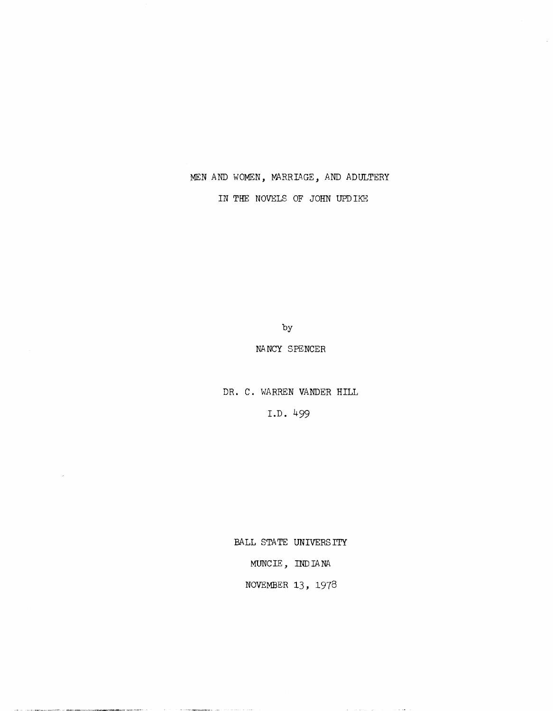## MEN AND WOMEN, MARRIAGE, AND ADULTERY

IN THE NOVELS OF JOHN UPD IKE

by

### NANCY SPENCER

DR. C. WARREN VANDER HILL

LD. 499

BALL STATE UNIVERS ITY

MUNC IE, IND IA NA

NOVEMBER 13, 1978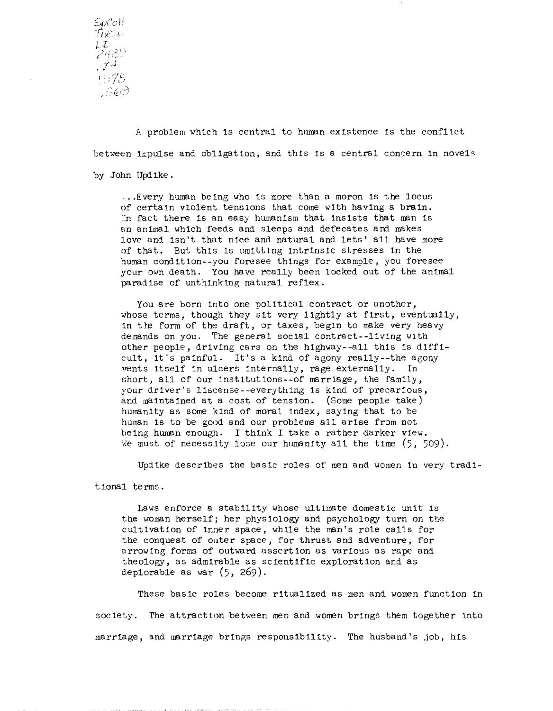

A problem which is central to human existence is the conflict between impulse and obligation, and this is a central concern in novels by John UpdIke .

. . . Every human be Ing who Is more than a moron Is the locus of certain violent tensions that come with having a brain. In fact there is an easy humanism that insists that man is an animal which feeds and sleeps and defecates and makes love and Isn't that nice and natural and lets' all have more of that. But this Is omittIng intrInsic stresses In the human conditIon--you foresee thIngs for example, you foresee your own death. You have really been locked out of the anImal paradise of unthinking natural reflex.

You are born into one political contract or another, whose terms, though they sit very lightly at first, eventually, in the form of the draft, or taxes, begin to make very heavy demands on you. The general social contract--living with other people, driving cars on the highway--all this is difficult, it's painful. It's a kind of agony really--the agony vents itself In ulcers Internally, rage externally. In short, all of our institutions--of marriage, the family, your driver's liscense--everything is kind of precarious, and maintaIned at a cost of tension. (Some people take) humanity as SOme kInd of moral index, sayIng that to be human Is to be good and our problems all arIse from not beIng human enough. I thInk I take a rather darker view. We must of necessity lose our humanity all the time (5, 509).

Updike descrIbes the basIc roles of men and women In very tradl-

tional terms.

Laws enforce a stability whose ultimate domestic unit is the woman herself; her physiology and psychology turn on the cultivation of inner space, while the man's role calls for the conquest of outer space, for thrust and adventure, for arrowlng forms of outward assertion as varIous as rape and theology, as admIrable as scIentIfIc exploration and as deplorable as war (5, 269).

These basic roles become rItualIzed as men and women function In society. The attraction between men and women brings them together into marriage, and marriage brings responsibility. The husband's job, his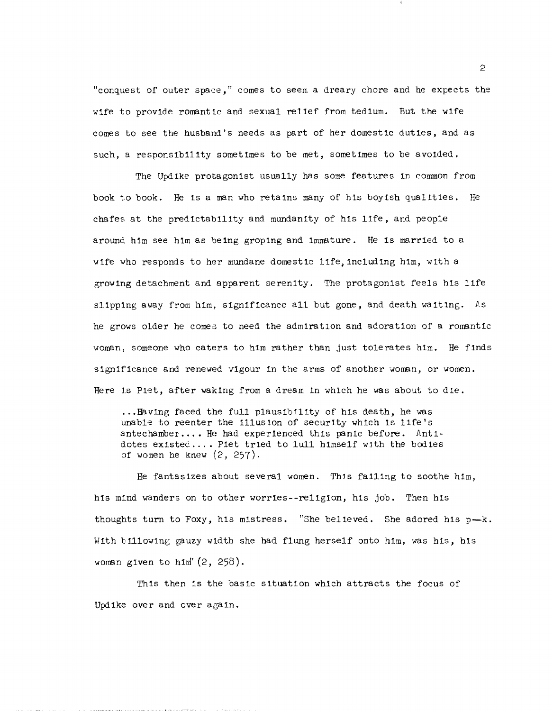"conquest of outer space," comes to seem a dreary chore and he expects the wife to provide romantic and sexual relief from tedium. But the wife comes to see the husband's needs as part of her domestic duties, and as such, a responsibility sometimes to be met, sometimes to be avoided.

The Updike protagonist usually has some features in COmmon from book to book. He is a man who retains many of his boyish qualities. He chafes at the predictab11ity and mundanity of hIs life, and people around him see him as being groping and immature. He is married to a wife who responds to her mundane domestic life, including him, with a growing detachment and apparent serenity. The protagonist feels hIs life slipping away from him, significance all but gone, and death waiting. As he grows older he comes to need the admiration and adoration of a romantic woman, SOmeone who caters to him rather than just tolerates him. He finds significance and renewed vigour in the arms of another woman, or women. Here is Piet, after waking from a dream in which he was about to die.

... Having faced the full plausibIlIty of hIS death, he was unable to reenter the illusion of security which is life's antechamber.... He had experienced this panic before. Antidotes existed .... Piet tried to 1u11 himself with the bodies of women he knew  $(2, 257)$ .

He fantasizes about several women. This falling to soothe hIm, his mind wanders on to other worries--religion, his job. Then his thoughts turn to Foxy, his mistress. "She believed. She adored his  $p-k$ . With billowing gauzy width she had flung herself onto him, was his, his woman given to him'  $(2, 258)$ .

This then is the basic situatIon which attracts the focus of Updike over and over again.

 $\mathcal{L}$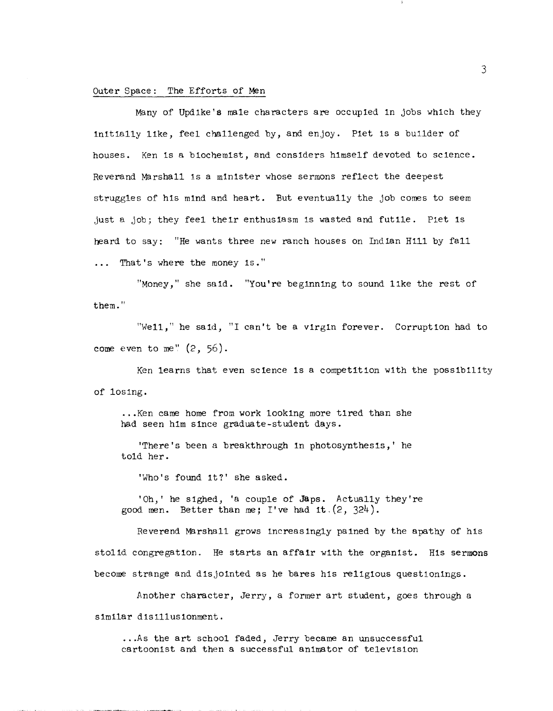#### Outer Space: The Efforts of Men

Many of Updike's male characters are occupied in jobs which they InItially lIke, feel challenged by, and enjoy. Plet IS a buIlder of houses. Ken Is a bIochemist, and consIders himself devoted to science. Reverand Marshall 1s a minister whose sermons reflect the deepest struggles of his mind and heart. But eventually the job comes to seem just a job; they feel their enthusIasm is wasted and futIle. Plet Is heard to say: "He wants three new ranch houses on IndIan H1ll by fall ... That's where the money is."

"Money," she said. "You're beginning to sound like the rest of them."

"Well," he saId, "I can't be a virgIn forever. Corruption had to come even to me"  $(2, 56)$ .

Ken learns that even scIence Is a competItIon with the possibll1ty of losing •

... Ken came home from work lookIng more tIred than she had seen him since graduate-student days.

'There's been a breakthrough in photosynthesis,' he told her.

'Who's found It?' she asked.

'Oh,' he sIghed, 'a couple of Japs. Actually they're good men. Better than me; I've had it.  $(2, 324)$ .

Reverend Marshall grows IncreasIngly paIned by the apathy of his stolid congregation. He starts an affair with the organist. His sermons become strange and disjointed as he bares his religious questionings.

Another character, Jerry, a former art student, goes through a sImilar disillusIonment .

... As the art school faded, Jerry became an unsuccessful cartoonist and then a successful animator of television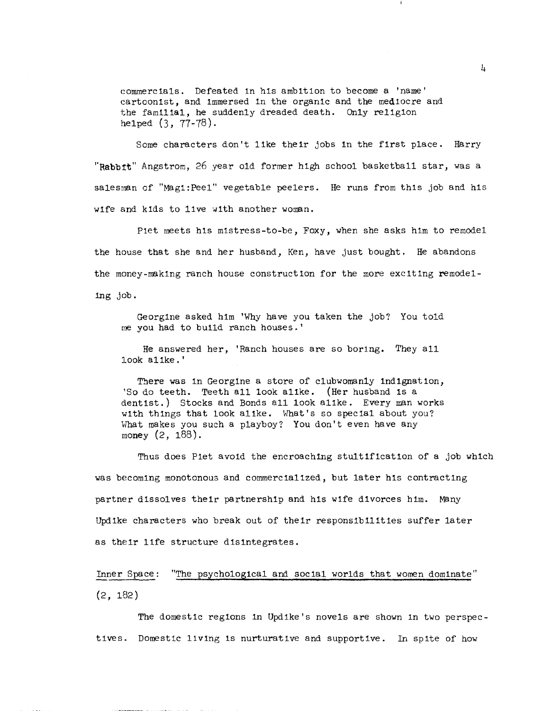eommerclals. Defeated in his ambition to become a 'name' eartoonist, and immersed in the organic and the mediocre and the familIal, he suddenly dreaded death. Only religion helped (3, 77-78).

Some characters don't like their jobs in the first place. Harry **"Rabb:rt"** Angstrom, 26 year old former hIgh school basketball star, was a salesman of "Magi:Peel" vegetable peelers. He runs from this job and his wife and kids to live with another woman.

Piet meets his mistress-to-be, Foxy, when she asks him to remodel the house that she and her husband, Ken, have just bought. He abandons the money-making ranch house construction for the more exciting remodellng job.

Georgine asked hIm 'Why have you taken the job? You told me you had to bu11d ranch houses. '

He answered her, 'Ranch houses are so bor1ng. They all look alIke. '

Tbere was in Georgine a store of clubwomanly Ind1gnation, 'So do teeth. Teeth all look alike. (Her husband is a dentist.) Stocks and Bonds all look alike. Every man works with things that look alike. What's so special about you? What makes you such a playboy? You don't even have any money (2, 188).

Thus does Piet avoid the encroaching stultIfIcatIon of a job which was becoming monotonous and commercialized, but later his contracting partner dissolves their partnership and his wife divorces him. Many Updike characters who break out of their responsibilities suffer later as their lIfe structure dISintegrates.

Inner Space: "The psychological and social worlds that women dominate"  $(2, 182)$ 

The domestic regions in Updike's novels are shown in two perspectives. Domestic living is nurturative and supportive. In spite of how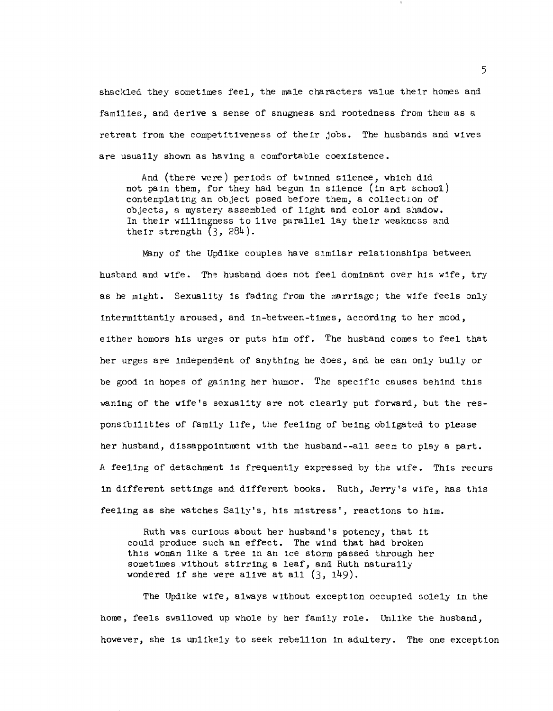shackled they sometimes feel, the male characters value their homes and famIlIes, and derIve a sense of snugness and rootedness from them as a retreat from the competItIveness of their jobs. The husbands and wIves are usually shown as havIng a comfortable coexIstence.

And (there were) perIods of twInned sIlence, whIch dId not pain them, for they had begun In sIlence (In art school) contemplating an object posed before them, a collection of objects, a mystery assembled of lIght and color and shadow. In theIr wIllingness to live parallel lay theIr weakness and their strength  $(3, 284)$ .

Many of the Updike couples have similar relationships between husband and wife. The husband does not feel dominant over his wife, try as he mIght. Sexuality Is fading from the marrIage; the wife feels only Intermlttantly aroused, and In-between-tlmes, accord1ng to her mood, either homors hIs urges or puts hIm off. The husband comes to feel that her urges are Independent of anythIng he does, and he can only bully or be good in hopes of gaining her humor. The specific causes behind this waning of the wife's sexuality are not clearly put forward, but the responslbl1Ities of famIly lIfe, the feelIng of beIng oblIgated to please her husband, dlssappointment with the husband--all seem to playa part. A feeling of detachment is frequently expressed by the wife. This recurs In dIfferent settIngs and dIfferent books. Ruth, Jerry's WIfe, has thIs feelIng as she watches Sally's, hIS mistress', reactIons to him.

Ruth was curious about her husband's potency, that it could produce such an effect. The wInd that had broken this woman like a tree in an ice storm passed through her sometimes without stirring a leaf, and Ruth naturally wondered if she were alive at all  $(3, 149)$ .

The Updike Wife, always Without exception occupied solely In the home, feels swallowed up whole by her famIly role. Unlike the husband, however, she is unlikely to seek rebellion In adultery. The one exception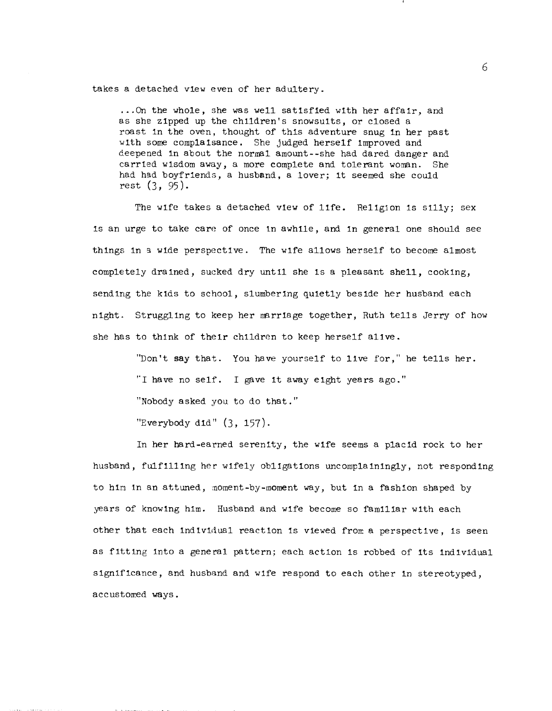takes a detached vIew even of her adultery .

... On the whole, she was well satisfied with her affair, and as she zipped up the chIldren's snowsuIts, or closed a roast In the oven. thought of this adventure snug In her past with some complaIsance. She judged herself improved and deepened in about the normal amount--she had dared danger and carried wIsdom away, a more complete and tolerant woman. She had had boyfriends, a husband, a lover; it seemed she could rest (3, 95).

The wife takes a detached view of life. Religion is silly; sex Is an urge to take care of once tn awhile, and In general one should see things in a wide perspective. The wife allows herself to become almost completely draIned, sucked dry until she is a pleasant shell, cookIng, sending the kids to school, slumbering quietly beside her husband each night. Struggling to keep her marriage together, Ruth tells Jerry of how she has to think of their children to keep herself alive.

> "Don't say that. You have yourself to lIve for," he tells her. "I have no self. I gave It away eIght years ago." "Nobody asked you to do that." "Everybody did" (3, 157).

In her hard-earned serenIty, the wIfe seems a placId rock to her husband, fulfIlling her w1fe1y oblIgations uncomplaIningly, not responding to him in an attuned, moment-by-moment way, but in a fashion shaped by years of knowing hIm. Husband and wife become so famIlIar wIth each other that each IndIvIdual reactIon Is vIewed fron; a perspectIve, Is seen as fIttIng Into a general pattern; each actIon is robbed of Its Individual sign1flcance, and husband and w1fe respond to each other In stereotyped, accustomed ways.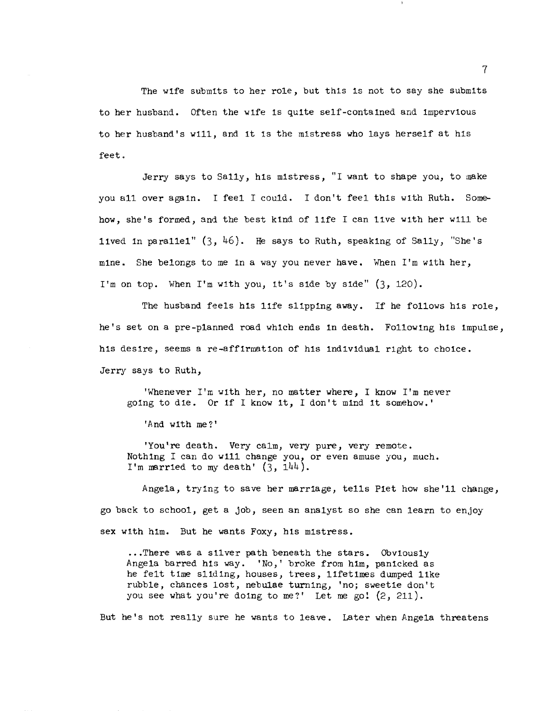The wife submits to her role, but this is not to say she submits to her husband. Often the wife is quite self-contained and impervIous to her husband's will, and It IS the mistress who lays herself at hIs feet.

Jerry says to Sally, hIs mIstress, "I want to shape you, to make you all over again. I feel I could. I don't feel this with Ruth. Somehow, she's formed, and the best kInd of lIfe I can lIve wIth her will be lived in parallel"  $(3, 46)$ . He says to Ruth, speaking of Sally, "She's mIne. She belongs to me in a way you never have. When I'm wIth her, I'm on top. When I'm with you, it's sIde by side" (3, 120).

The husband feels his life slipping away. If he follows his role, he's set on a pre-planned road whIch ends In death. FollowIng hIs Impulse, his desire, seems a re-affirmation of his individual right to choice. Jerry says to Ruth,

'Whenever I'm wIth her, no matter where, I know I'm never goIng to die. Or If I know It, I don't mInd It somehow.'

'And wIth me?'

'You're death. Very calm, very pure, very remote. Nothing I can do will change you, or even amuse you, much. I'm married to my death'  $(3, 144)$ .

Angela, tryIng to save her marrIage, tells Piet how she'll change, go back to school, get a job, seen an analyst so she can learn to enjoy sex with him. But he wants Foxy, his mistress.

.•• There was a sIlver path beneath the stars. ObVIously Angela barred hIs way. 'No,' broke from hIm, panIcked as he felt time sliding, houses, trees, lifetimes dumped like rubble, chances lost, nebulae turning, 'no; sweetie don't you see what you're doing to me?' Let me go!  $(2, 211)$ .

But he's not really sure he wants to leave. Later when Angela threatens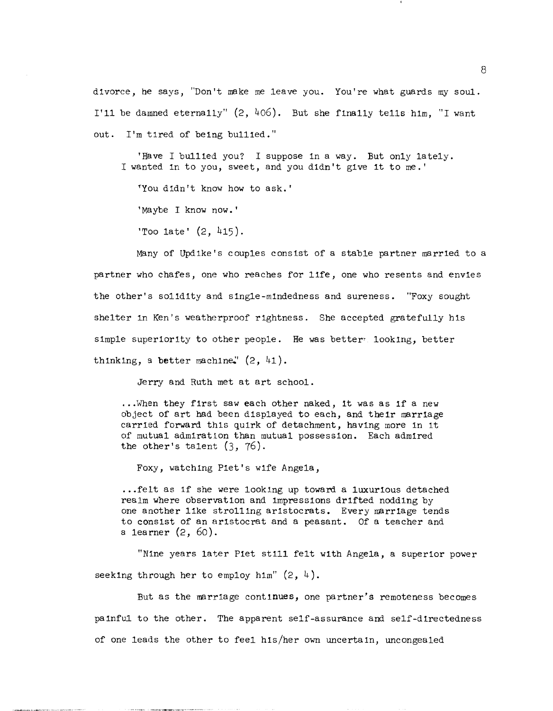divoree, he says, "Don't make me leave you. You're what guards my soul. I'll be damned eternally" (2, 406). But she fInally tells hIm, "I want out. I'm tIred of being bullied."

'Have I bullied you? I suppose in a way. But only lately. I wanted in to you, sweet, and you didn't give it to me. '

ryou dIdn't know how to ask. '

'Maybe I know now.'

'Too  $1ate'$   $(2, 415)$ .

Many of Updike's couples consist of a stable partner married to a partner who chafes, one who reaches for life, one who resents and envies the other's solidity and sing1e-mindedness and sureness. "Foxy sought shelter in Ken's weatherproof rightness. She accepted gratefully his simple superiority to other people. He was better looking, better thinking, a better machine,  $(2, 41)$ .

Jerry and Ruth met at art school.

... When they first saw each other naked, it was as if a new object of art had been displayed to each, and their marrIage carried forward thIs quirk of detachment, having more in It of mutual admirat ton than mutual possession. Each admIred the other's talent  $(3, 76)$ .

Foxy, watching Piet's wife Angela,

•.. felt as If she were lookIng up toward a luxurious detached realm where observation and Impressions drifted nodding by one another 11ke strol11ng ar1stocrats. Every marriage tends to consist of an aristocrat and a peasant. Of a teacher and a learner (2, 60).

"NIne years later Piet still felt with Angela, a superior power seeking through her to employ him"  $(2, 4)$ .

But as the marrIage continues, one partner's remoteness becomes paInful to the other. The apparent self-assurance and self-directedness of one leads the other to feel his/her own uncertain, uncongealed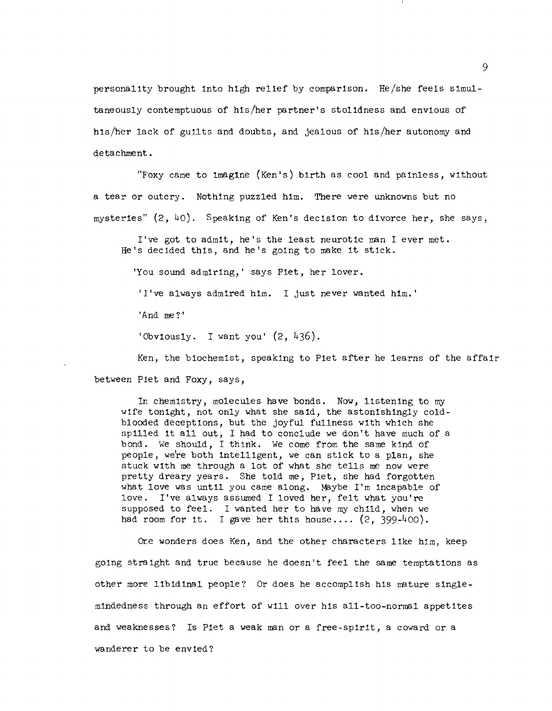personality brought into high relief by comparison. He/she feels simultaneous1y contemptuous of his/her partner's sto1idness and envious of his/her lack of guilts and doubts, and jealous of his/her autonomy and detachment.

"F'oxy came to Imag1ne (Ken's) bIrth as cool and paInless, without a tear or outcry. Nothing puzzled him. There were unknowns but no mysteries" (2,40). Speaking of Ken's decIsion to divorce her, she says,

I've got to admit, he's the least neurotic man I ever met. He's decided thiS, and he's going to make it stick.

'You sound admirIng,' says Fiet, her lover.

'I've always admired him. I just never wanted h1m. '

'And me?'

'Obv10usly. I want you' (2, 436).

Ken, the biochemist, speaking to Fiet after he learns of the affair between Flet and Foxy, says,

In chemistry, molecules have bonds. Now, listening to my wife tonight, not only what she said, the astonishingly coldblooded deceptions, but the joyful fullness with which she sp1lled 1t all out, I had to conclude we don't have much of a bond. We should, I think. We come from the same kind of people, we're both intelligent, we can stIck to a plan, she stuck with me through a lot of what she tells me now were pretty dreary years. She told me, Fiet, she had forgotten what love was until you came along. Maybe I'm incapable of love. I've always assumed I loved her, felt what you're supposed to feel. I wanted her to have my ch1ld, when we had room for it. I gave her this house....  $(2, 399-400)$ .

Ore wonders does Ken, and the other characters like him, keep gOing straight and true because he doesn't feel the same temptations as other more lIbIdInal people? Or does he accomplish hIs mature sing1emindeclness through an effort of wlll over his al1-too-norma1 appetites and weaknesses? Is Fiet a weak man or a free -spirit, a coward or a wanderer to be envIed?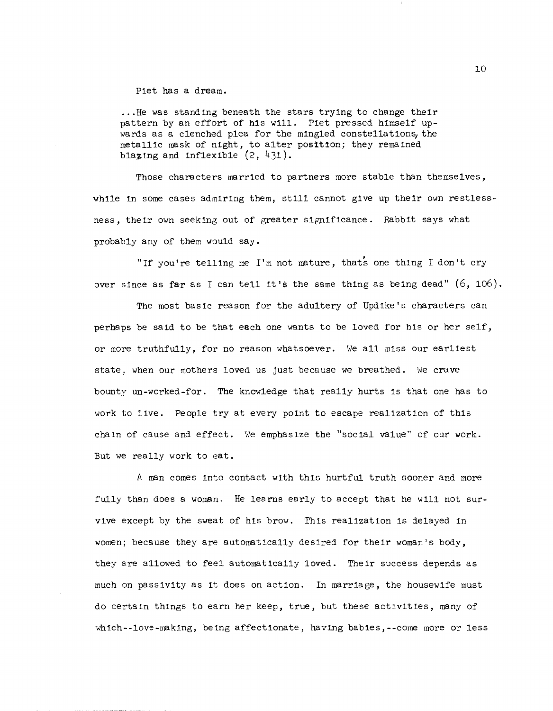#### Piet has a dream.

... He was standIng beneath the stars tryIng to change theIr pattern by an effort of his will. Plet pressed himself up wards as a clenched plea for the mingled constellations, the metallic mask of night, to alter position; they remained blazing and inflexible  $(2, 431)$ .

Those characters marrIed to partners more stable than themselves, while in some cases admiring them, still cannot give up their own restlessness, their own seeking out of greater significance. Rabbit says what probably any of them would say.

"If you're telling me I'm not mature, thats one thing I don't cry over since as **far** as I can tell **it's** the same thing as being dead" (6, 106).

The most basic reason for the adultery of UpdIke's characters can perhaps be said to be that each one wants to be loved for hIs or her self, or more truthfully, for no reason whatsoever. We all miss our earliest state, when our mothers loved us just because we breathed. We crave bounty un-worked-for. The knowledge that really hurts Is that one has to work to live. People try at every point to escape realization of this chain of cause and effect. We emphasize the "social value" of our work. But we really work to eat.

A man comes into contact with this hurtful truth sooner and more fully than does a woman. He learns early to accept that he wIll not survlve except by the sweat of hIs brow. ThIs realization is delayed in women; because they are automatically desired for their woman's body, they are allowed to feel automatically loved. Their success depends as much on passivity as it does on action. In marriage, the housewife must do certain things to earn her keep, true, but these activities, many of which--love-making, being affectionate, having babies, --come more or less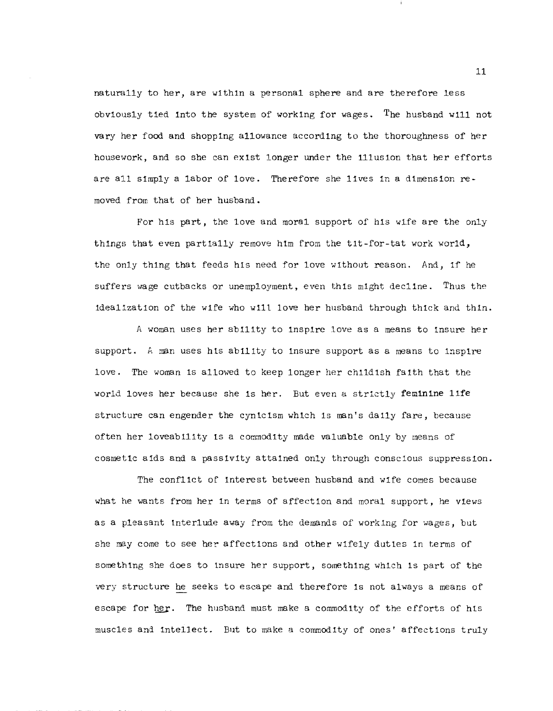naturally to her, are within a personal sphere and are therefore less obvIously tIed into the system of workIng for wages. The husband will not vary her food and shopping allowance according to the thoroughness of her housework, and so she can exist longer under the illusion that her efforts are all sImply a labor of love. Therefore she lIves In a dimension removed from that of her husband.

For hIs part, the love and moral support of his wife are the only things that even partially remove him from the tit-for-tat work world, the only thing that feeds his need for love without reason. And, if he suffers wage cutbacks or unemployment, even this might decline. Thus the idealization of the wife who will love her husband through thick and thin.

A woman uses her ability to inspire love as a means to insure her support. A man uses his ability to insure support as a means to inspire love. The woman is allowed to keep longer her childish faith that the world loves her because she is her. But even a strIctly **feminine** life structure can engender the cynicism wh1ch is man's dally fare, because often her loveability is a commodity made valuable only by means of cosmetic aids and a passivity attained only through conscious suppression.

The conflIct of Interest between husband and wIfe COmes because what he wants from her In terms of affection and moral support, he vIews as a pleasant interlude away from the demands of working for wages, but she may come to see her affections and other wifely duties in terms of something she does to insure her support, something which is part of the very structure he seeks to escape and therefore Is not always a means of escape for her. The husband must make a commodity of the efforts of his muscles and intellect. But to make a commodity of ones' affections truly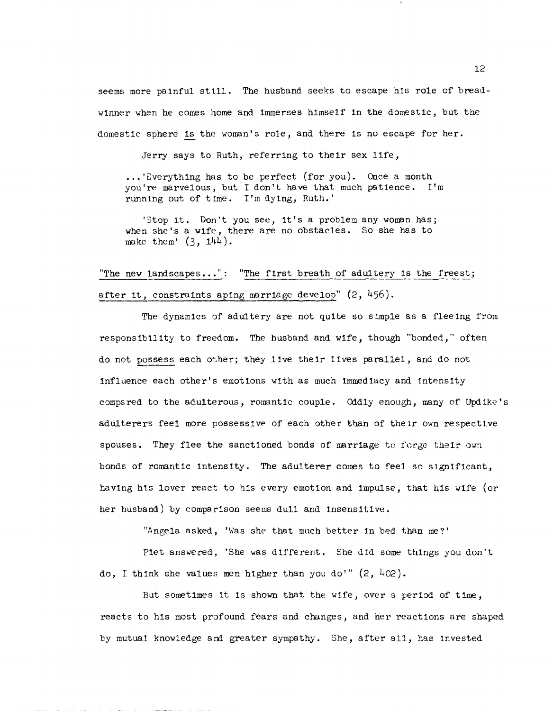seems more paInful stil1. The husband seeks to escape hIS role of breadwInner when he comes horne and Immerses hImself In the domestIC, but the domestIc sphere Is the woman's role, and there Is no escape for her.

Jerry says to Ruth, referring to theIr sex life,

**...** Everything has to be perfect (for you). Once a month you're marvelous, but I don't have that much patIence. I'm running out of time. I'm dying, Ruth.'

'Stop it. Don't you see, it's a problem any woman has; when she's a Wife, there are no obstacles. So she has to make them'  $(3, 144)$ .

"The new landscapes...": "The first breath of adultery is the freest; after it, constraints aping marriage develop"  $(2, 456)$ .

The dynamics of adultery are not quite so simple as a fleeing from responslb11ity to freedom. The husband and WIfe, though "bonded," often do not possess each other; they lIve their lIves parallel, and do not influence each other's emotions with as much immediacy and intensity compared to the adulterous, romantic couple. Oddly enough, many of Updike's adulterers feel more possessive of each other than of their own respectIve spouses. They flee the sanctioned bonds of marriage to forge their own bonds of romantic intensity. The adulterer comes to feel so significant, having his lover react to his every emotion and impulse, that his wife (or her husband) by comparison seems dull and InsensItIve.

"Angela asked, 'Was she that much better in bed than me?'

Piet answered, 'She was different. She did some things you don't do, I think she values men higher than you do'"  $(2, 402)$ .

But sometimes it is shown that the wife, over a period of time, reacts to his most profound fears and changes, and her reactions are shaped by mutual knowledge and greater sympathy. She, after all, has invested

12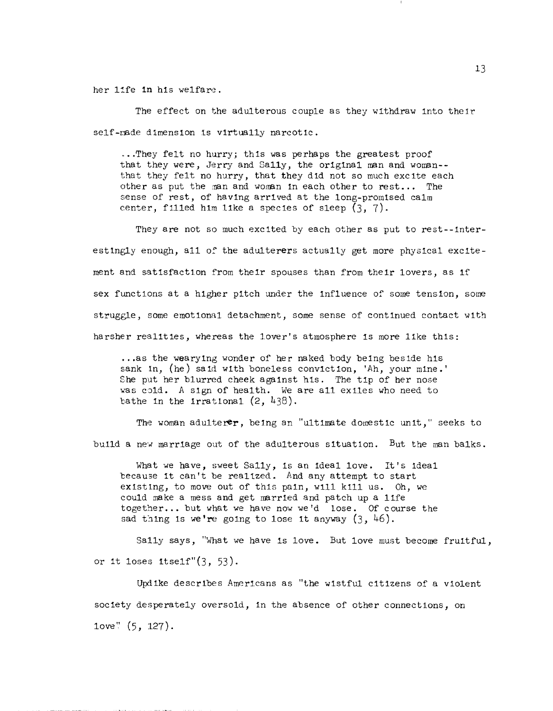her l:fe **In** hIs welfare.

The effect on the adulterous couple as they withdraw into their self-made dimension is virtually narcotic.

... They felt no hurry; this was perhaps the greatest proof that they were, Jerry and Sally, the original man and woman-that they felt no hurry, that they dId not so much excIte each other as put the man and woman in each other to rest... The sense of rest, of having arrived at the long-promised calm center, filled him like a species of sleep  $(3, 7)$ .

They are not so much excited by each other as put to rest--interestingly enough, all of the adulterers actually get more physical excitement and satIsfaction from theIr spouses than from their lovers, as If sex functions at a higher pitch under the influence of some tension, some struggle, some emotional detachment, some sense of continued contact with harsher realities, whereas the lover's atmosphere is more like this:

... as the wearying wonder of her naked body being beside his sank in, (he) said with boneless conviction, 'Ah, your mine.' She put her blurred cheek against his. The tip of her nose was cold. A sign of health. We are all exiles who need to bathe in the irrational  $(2, 438)$ .

The woman adulterer, being an "ultimate domestic unit," seeks to build a new marriage out of the adulterous situation. But the man balks.

What we have, sweet Sally, is an ideal love. It's ideal because it can't be realized. And any attempt to start existing, to move out of this pain, will kill us. Oh, we could make a mess and get marrIed and patch up a lIfe together... but what we have now we'd lose. Of course the sad thing is we're going to lose it anyway  $(3, 46)$ .

Sally says, "What we have is love. But love must become fruitful, or it loses itself" $(3, 53)$ .

Updike descr1bes Amerlcans as "the wlstful cItIzens of a vIolent socIety desperately oversold, in the absence of other connections, on love" (5, 127).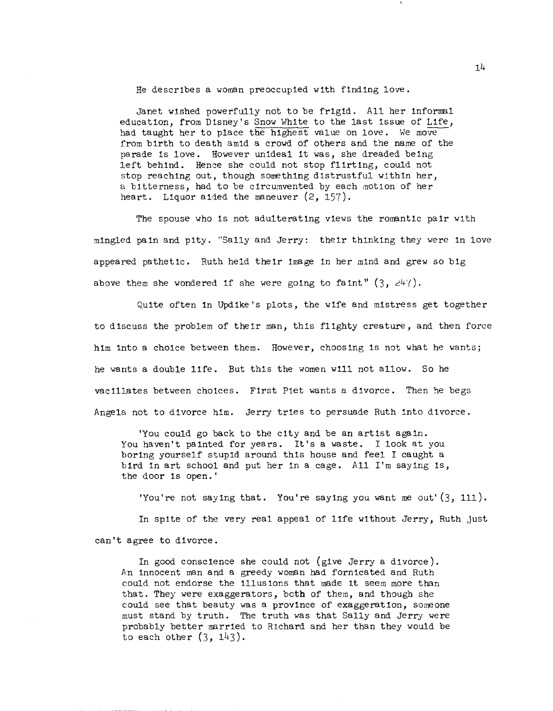He descrIbes a woman preoccupIed wIth fIndIng *love.* 

Janet wIshed powerfully not to be frigId. All her Informal educatIon, from D1sney's Snow White to the last 1ssue of LIfe, had taught her to place the hIghest value on love. We movefrom bIrth to death amid a crowd of others and the name of the parade is love. However unideal it was, she dreaded being left behind. Hence she could not stop flirting, could not stop reaching out, though something distrustful within her, a bitterness, had to be circumvented by each motion of her heart. LIquor aIded the maneuver (2, 157).

The spouse who is not adulterating views the romantic pair with mingled pain and pity. "Sally and Jerry: their thinking they were in love appeared pathetic. Ruth held their image in her mind and grew so big above them she wondered if she were going to faint"  $(3, 247)$ .

QuIte often in UpdIke's plots, the wIfe and mistress get together to discuss the problem of theIr man, this flIghty creature, and then force him into a choice between them. However, choosing is not what he wants; he wants a double lIfe. But th1s the women will not allow. So he vacillates between choIces. FIrst Piet wants a divorce. Then he begs Angela not to dIvorce him. Jerry tries to persuade Ruth into divorce.

'You could go back to the city and be an artist again. You haven't painted for years. It's a waste. I look at you boring yourself stupid around thIs house and feel I caught a bird In art school and put her In a cage. All I'm sayIng Is, the door Is open.'

'You're not sayIng that. You're saying you want me out' (3, 111). In spite of the very real appeal of life without Jerry, Ruth just can't agree to dIvorce.

In good conscIence she could not (gIve Jerry a dIvorce). An innocent man and a greedy woman had fornicated and Ruth could not endorse the illusions that made it seem more than that. They were exaggerators, beth of them, and though she could see that beauty was a provInce of exaggeration, someone must stand by truth. The truth was that Sally and Jerry were probably better marrIed to Richard and her than they would be to each other  $(3, 143)$ .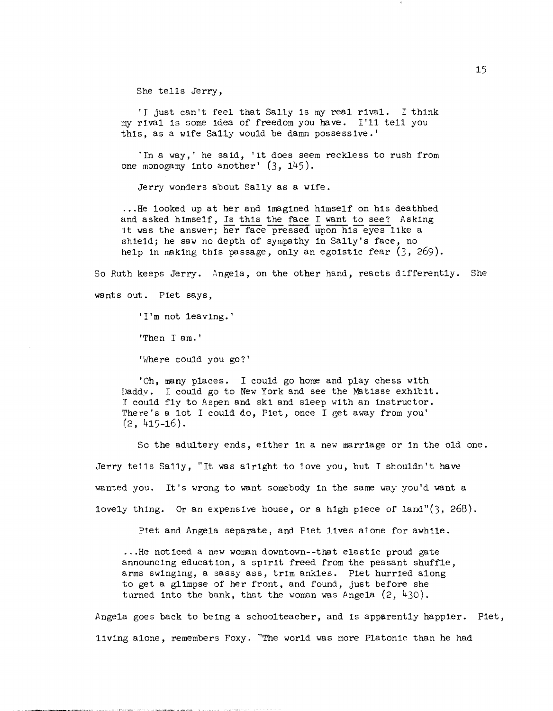She tells Jerry,

'I just can't feel that Sally is my real rival. I think my rIval Is some Idea of freedom you have. I'll tell you this, as a wife Sally would be damn possessive.'

'In a way,' he said, 'it does seem reckless to rush from one monogamy into another' (3, 145).

Jerry wonders about Sally as a wife .

... He looked up at her and Imagined himself on his deathbed and asked himself, Is this the face I want to see? Asking :It was the answer; her face pressed upon his eyes like a shield; he saw no depth of sympathy in Sally's face, no help in making this passage, only an egoistic fear  $(3, 269)$ .

So Ruth keeps Jerry. Angela, on the other hand, reacts dIfferently. She wants out. Piet says,

'I'm not leaving.'

'Then I am. '

'Where could you go?'

'Ch, many places. I could go home and play chess with Daddy. I could go to New York and see the Matisse exhibit. I could fly to Aspen and skt and sleep with an Instructor. There's a lot I could do, Piet, once I get away from you' (2, 415-16).

So the adultery ends, either In a new marrIage or in the old one. Jerry tells Sally, "It was alrIght to love you, but I shouldn't have wanted you. It's wrong to want somebody in the same way you'd want a lovely thing. Or an expensive house, or a high piece of land" $(3, 268)$ .

Piet and Angela separate, and Piet lives alone for awhile .

...He noticed a new woman downtown--that elastic proud gate announcing education, a spirit freed from the peasant shuffle, arms swinging, a sassy ass, trIm ankles. Piet hurrled along to get a glimpse of her front, and found, just before she turned into the bank, that the woman was Angela  $(2, 430)$ .

Angela goes back to being a schoolteacher, and is apparently happier. Piet, living alone, remembers Foxy. "The world was more Platonic than he had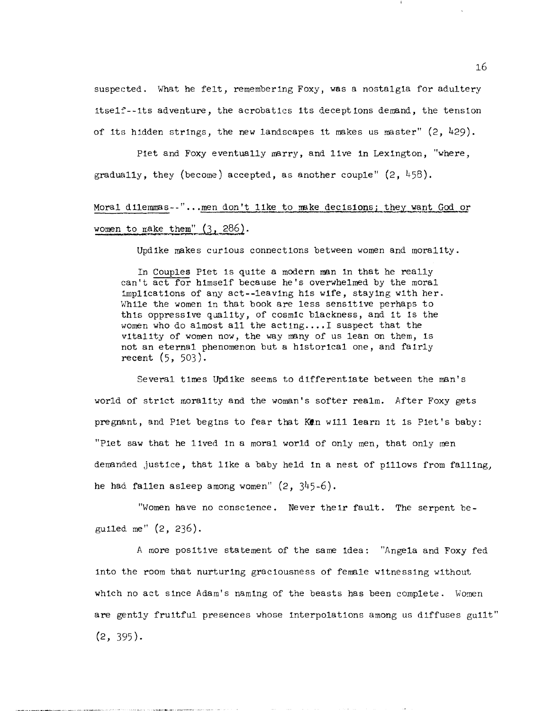suspected. What he felt, remembering Foxy, was a nostalgia for adultery Itse1~--lts adventure, the acrobatics its deceptions demand, the tensIon of Its hidden strings, the new landscapes it makes us master" (2, 429).

Plet and Foxy eventually marry, and live in LexIngton, "where, gradually, they (become) accepted, as another couple"  $(2, 458)$ .

# Moral dilemmas--"...men don't like to make decisions; they want God or women to make them"  $(3, 286)$ .

UpdIke makes curIous connections between women and moralIty.

In Couples Piet is quite a modern man in that he really can't act for himself beca use he's overwhelmed by the moral implIcations of any act--leaving his wIfe, stayIng with her. While the women in that book are less sensitive perhaps to this oppressive quality, of cosmic blackness, and it is the women who do almost all the  $\text{acting} \ldots \text{I}$  suspect that the vitality of women now, the way many of us lean on them, is not an eternal phenomenon but a hIstorIcal one, and faIrly recent (5, 503).

Several times UpdIke seems to dIfferentiate between the man's world of strict moralIty and the woman's softer realm. After Foxy gets pregnant, and Piet begins to fear that Ken will learn it is Piet's baby: "Plet saw that he lIved in a moral world of only men, that only men demanded justice, that lIke a baby held In a nest of pIllows from fallIng, he had fallen asleep among women" (2, 345-6).

"Women have no conscience. Never their fault. The serpent begulled me" (2, 236).

A more positive statement of the same idea: "Angela and Foxy fed into the room that nurturing graciousness of female witnessing without wh1ch no act Since Adam's namIng of the beasts has been complete. Women are gently fruitful presences whose interpolations among us diffuses guilt"  $(2, 395)$ .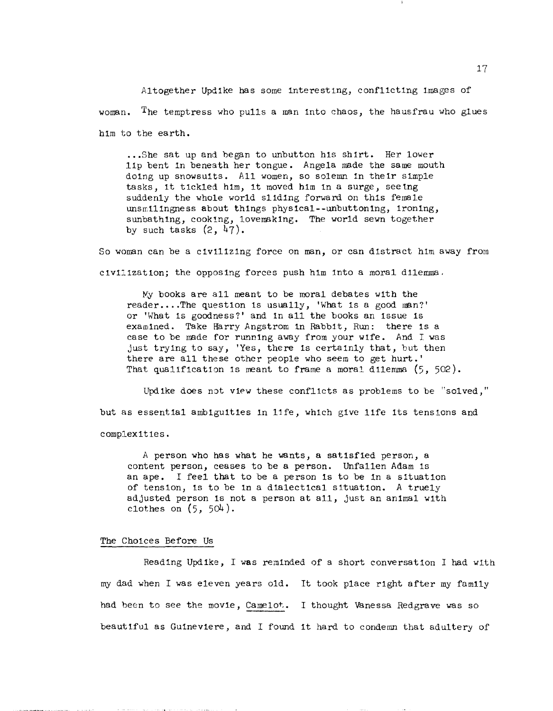Altogether Updike has SOme Interesting, conflictIng lmages of woman. The temptress who pulls a man into chaos, the hausfrau who glues him to the earth.

... She sat up and began to unbutton his shirt. Her lower IIp bent In beneath her tongue. Angela msde the same mouth doing up snowsuits. All women, so solemn in their simple tasks, It tickled him, it moved hIm in a surge, seeing suddenly the whole world sliding forward on this female unsmilingness about things physical--unbuttoning, ironing, sunbathing, cooking, lovemaking. The world sewn together by such tasks  $(2, 47)$ .

So woman can be a civilizing force on man, or can distract him away from civilization; the opposing forces push him into a moral dilemma.

My books are all meant to be moral debates with the reader ••.. The question is usually, 'What Is a good man?' or 'What is goodness?' and in all the books an issue is examined. Take Harry Angstrom in Rabbit, Run: there is a case to be made for running away from your wife. And I was just trying to say, 'Yes, there is certainly that, but then there are all these other people who seem to get hurt.' That qualification is meant to frame a moral dilemma  $(5, 502)$ .

Updike does not view these conflicts as problems to be "solved," but as essential ambiguities in life, which give life its tensions and complexities.

A person who has what he wants, a satIsfIed person, a content person, ceases to be a person. Unfal1en Adam Is an ape. I feel that to be a person Is to be In a SituatIon of tensIon, is to be in a dIalectical s1tuatlon. A true1y adjusted person is not a person at all, just an animal wIth clothes on  $(5, 504)$ .

#### The ChOIces Before Us

Reading Updike, I was reminded of a short conversation I had with my dad when I was eleven years old. It took place right after my family had been to see the movie, Camelot. I thought Vanessa Redgrave was so beautiful as Gulnevlere, and I found it hard to condemn that adultery of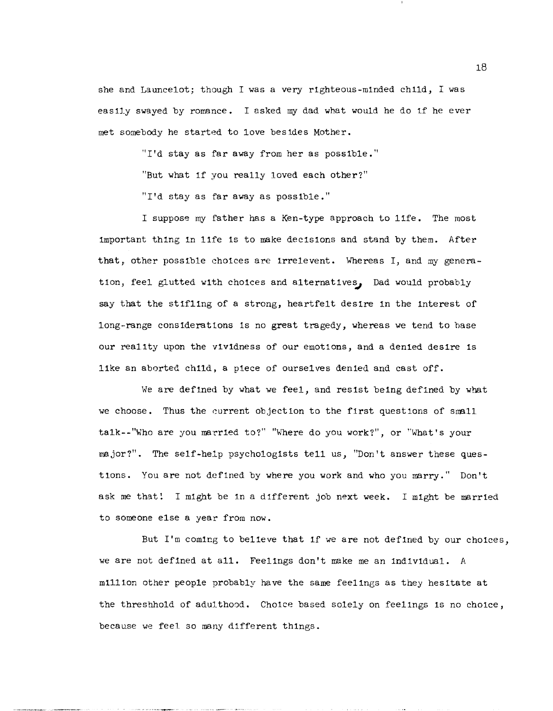she and Launce1ot; though I was a very righteous-minded child, I was eas 11y swayed by romance. I asked my dad what would he do if he ever met somebody he started to love besides Mother.

"I'd stay as far away from her as possible."

"But what if you really loved each other?"

"I'd stay as far away as possible."

I suppose my father has a Ken-type approach to life. The most important thIng in lIfe is to make decisIons and stand by them. After that, other possible choices are irre1event. Whereas I, and my generation, feel glutted with choices and alternatives, Dad would probably say that the stifling of a strong, heartfelt desire in the interest of long-·range conSideratIons is no great tragedy, whereas we tend to base our reality upon the vividness of our emotions, and a denied desire is like an aborted child, a pIece of ourselves denied and cast off.

We are defined by what we feel, and resist being defined by wbat we choose. Thus the current objection to the first questions of small ta1k--"Who are you married to?" "Where do you work?", or "What's your major?". The self-help psychologists tell us, "Don't answer these questions. You are not def1ned by where you work and who you marry." Don't ask me that! I might be in a different job next week. I might be married to someone else a year from now.

But I'm coming to believe that if we are not defined by our choices, we are not defined at all. Feelings don't make me an Individual. A million other people probably have the same feelings as they hesitate at the threshhold of adulthood. Choice based solely on feelings is no choice, because we feel so many dIfferent things.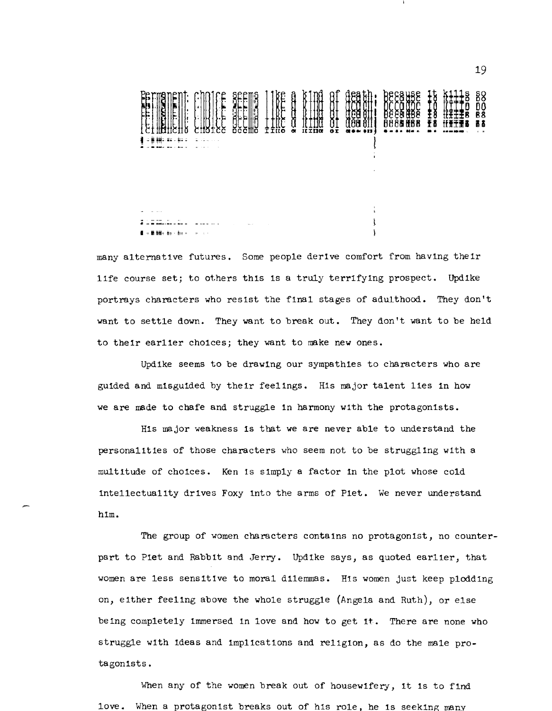

many alternatIve futures. Some people derive comfort from having their life course set; to others this is a truly terrifying prospect. Updike portrays eharacters who resIst the fInal stages of adulthood. They don't want to settle down. They want to break out. They don't want to be held to their earlier choices; they want to make new ones.

UpdIke seems to be drawing our sympathies to characters who are gUIded and misguided by their feelIngs. His major talent lIes in how we are made to chafe and struggle in harmony with the protagonists.

HIs major weakness Is that we are never able to understand the personalItIes of those characters who seem not to be strugglIng wIth a multItude of choices. Ken is sImply a factor In the plot whose cold intellectualIty drIves Foxy into the arms of Plet. We never understand him.

The group of women characters contains no protagonist, no counterpart to Plet and RabbIt and Jerry. Updike says, as quoted earlIer, that women are less sensitive to moral dilemmas. His women just keep plodding on, eIther feeling above the whole struggle (Angela and Ruth), or else be ing completely Immersed in love and how to get 1t. There are none who struggle wIth Ideas and Implications and relIgion, as do the male protagonlsts.

When any of the women break out of housewifery, it is to find love. When a protagonist breaks out of hIs role, he Is seekIng many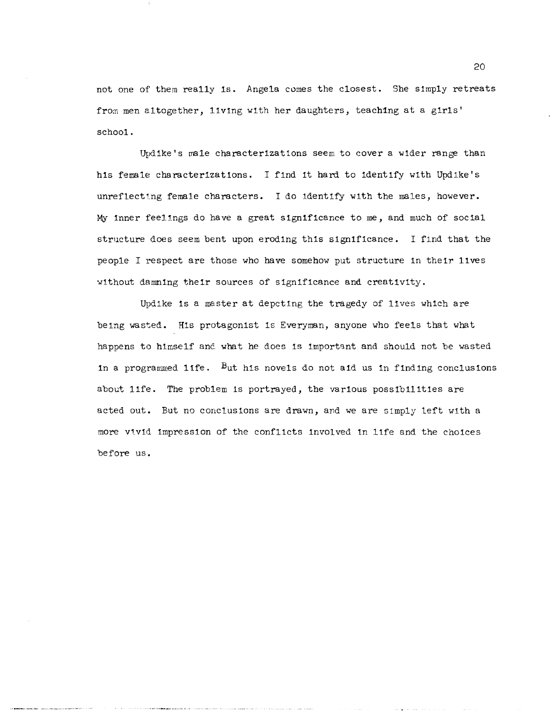not one of them really Is. Angela comes the closest. She s1mply retreats from men altogether, living with her daughters, teaching at a girls' school.

Updike's male characterizat 10ns seem to cover a wider range than his female characterizations. I find it hard to identify with Updike's unreflecting female characters. I do 1dentlfy with the males, however. My Inner feelings do have a great sIgnIfIcance to me, and much of socIal structure does seem bent upon eroding this significance. I find that the people I respect are those who have somehow put structure in their lives without damning their sources of significance and creativity.

Upd1ke Is a master at depcting the tragedy of lIves whIch are beIng wasted. His protagonist Is Everyman, anyone who feels that what happens to himself and what he does is important and should not be wasted in a programmed life. But his novels do not aid us in finding conclusions about 1ife. The problem is portrayed, the various possibilities are acted out. But no conclusions are drawn, and we are simply left with a more vivid impression of the conflicts involved in life and the choices before us.

20